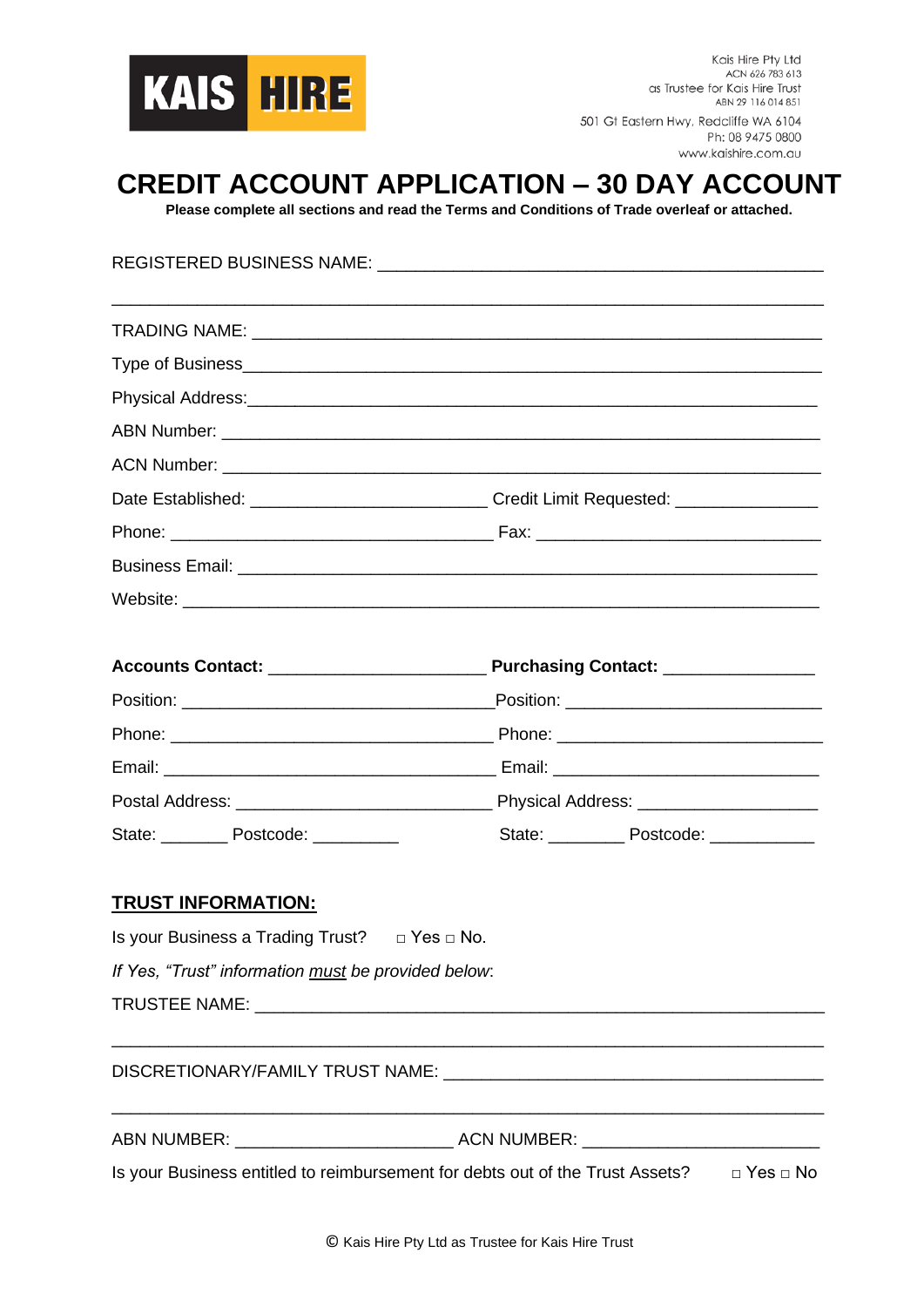

## **CREDIT ACCOUNT APPLICATION – 30 DAY ACCOUNT**

**Please complete all sections and read the Terms and Conditions of Trade overleaf or attached.**

REGISTERED BUSINESS NAME: **Example 20 and 20 and 20 and 20 and 20 and 20 and 20 and 20 and 20 and 20 and 20 and 20 and 20 and 20 and 20 and 20 and 20 and 20 and 20 and 20 and 20 and 20 and 20 and 20 and 20 and 20 and 20 an** \_\_\_\_\_\_\_\_\_\_\_\_\_\_\_\_\_\_\_\_\_\_\_\_\_\_\_\_\_\_\_\_\_\_\_\_\_\_\_\_\_\_\_\_\_\_\_\_\_\_\_\_\_\_\_\_\_\_\_\_\_\_\_\_\_\_\_\_\_\_\_\_\_\_\_ TRADING NAME: Type of Business\_ Physical Address:\_\_\_\_\_\_\_\_\_\_\_\_\_\_\_\_\_\_\_\_\_\_\_\_\_\_\_\_\_\_\_\_\_\_\_\_\_\_\_\_\_\_\_\_\_\_\_\_\_\_\_\_\_\_\_\_\_\_\_\_ ABN Number: ACN Number: Date Established: \_\_\_\_\_\_\_\_\_\_\_\_\_\_\_\_\_\_\_\_\_\_\_\_\_\_\_\_\_\_\_Credit Limit Requested: \_\_\_\_\_\_\_\_\_\_\_\_\_\_ Phone: \_\_\_\_\_\_\_\_\_\_\_\_\_\_\_\_\_\_\_\_\_\_\_\_\_\_\_\_\_\_\_\_\_\_ Fax: \_\_\_\_\_\_\_\_\_\_\_\_\_\_\_\_\_\_\_\_\_\_\_\_\_\_\_\_\_\_ Business Email: **Exercise Email: Exercise Email: Exercise Email: Exercise Email: Exercise Email: Exercise Email: Exercise Email: Exercise Email: Exercise Email: Exercise Email: Exercise Email: Exercis** Website:  $\blacksquare$ 

| State: Postcode: Postcode: | State: Postcode: Postcode: |
|----------------------------|----------------------------|

## **TRUST INFORMATION:**

Is your Business a Trading Trust? □ Yes □ No.

*If Yes, "Trust" information must be provided below*:

TRUSTEE NAME: TRUSTEE ASSESSED FOR A LIMIT OF A LIMIT OF A LIMIT OF A LIMIT OF A LIMIT OF A LIMIT OF A LIMIT OF A LIMIT OF A LIMIT OF A LIMIT OF A LIMIT OF A LIMIT OF A LIMIT OF A LIMIT OF A LIMIT OF A LIMIT OF A LIMIT OF

DISCRETIONARY/FAMILY TRUST NAME: \_\_\_\_\_\_\_\_\_\_\_\_\_\_\_\_\_\_\_\_\_\_\_\_\_\_\_\_\_\_\_\_\_\_\_\_\_\_\_\_

| <b>ABN NUMBER:</b> |  |
|--------------------|--|
|--------------------|--|

ABN NUMBER: \_\_\_\_\_\_\_\_\_\_\_\_\_\_\_\_\_\_\_\_\_\_\_ ACN NUMBER: \_\_\_\_\_\_\_\_\_\_\_\_\_\_\_\_\_\_\_\_\_\_\_\_\_

Is your Business entitled to reimbursement for debts out of the Trust Assets? □ Yes □ No

\_\_\_\_\_\_\_\_\_\_\_\_\_\_\_\_\_\_\_\_\_\_\_\_\_\_\_\_\_\_\_\_\_\_\_\_\_\_\_\_\_\_\_\_\_\_\_\_\_\_\_\_\_\_\_\_\_\_\_\_\_\_\_\_\_\_\_\_\_\_\_\_\_\_\_

\_\_\_\_\_\_\_\_\_\_\_\_\_\_\_\_\_\_\_\_\_\_\_\_\_\_\_\_\_\_\_\_\_\_\_\_\_\_\_\_\_\_\_\_\_\_\_\_\_\_\_\_\_\_\_\_\_\_\_\_\_\_\_\_\_\_\_\_\_\_\_\_\_\_\_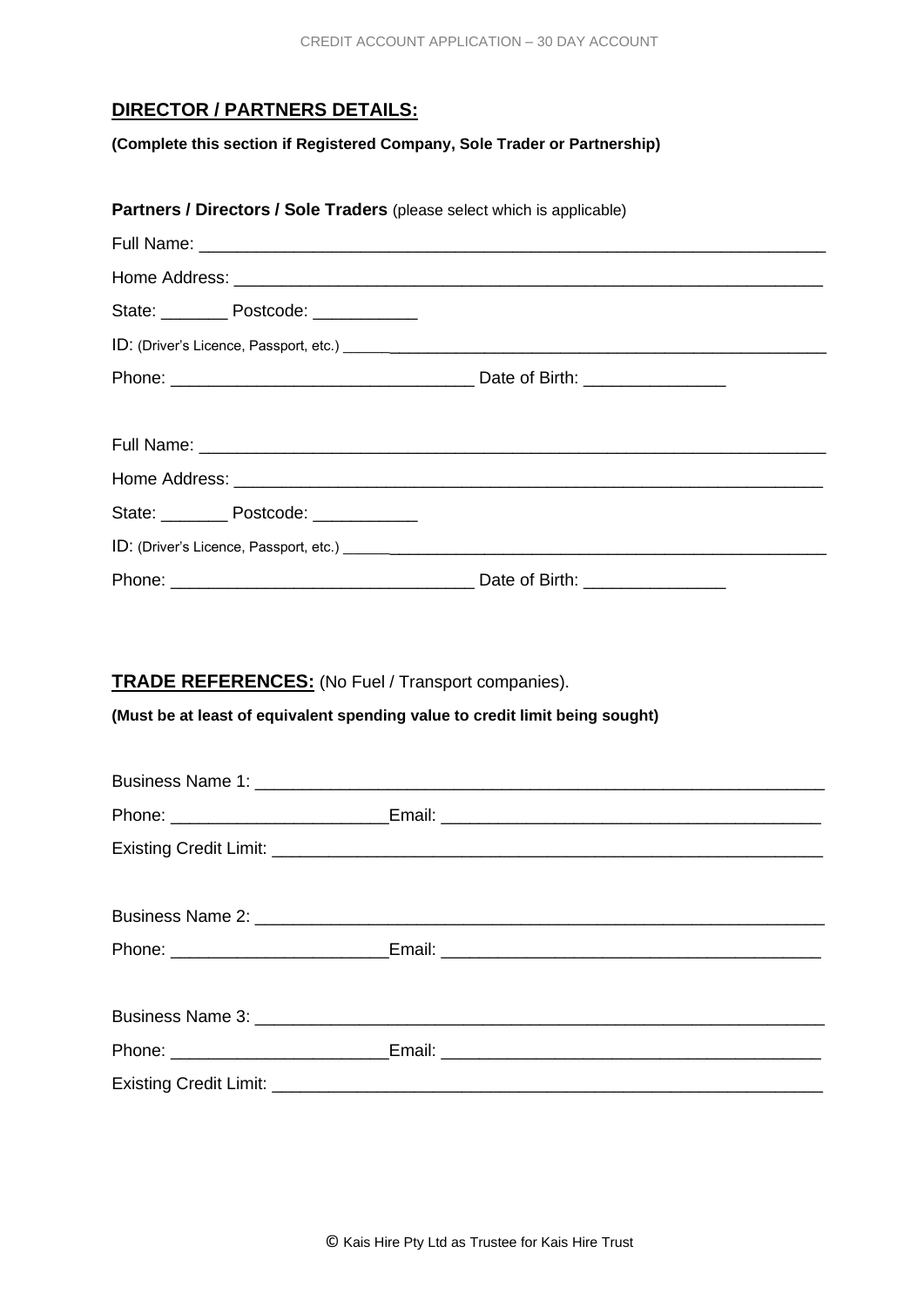## **DIRECTOR / PARTNERS DETAILS:**

**(Complete this section if Registered Company, Sole Trader or Partnership)**

|                                                                              | Partners / Directors / Sole Traders (please select which is applicable) |  |  |  |  |
|------------------------------------------------------------------------------|-------------------------------------------------------------------------|--|--|--|--|
|                                                                              |                                                                         |  |  |  |  |
|                                                                              |                                                                         |  |  |  |  |
|                                                                              | State: ___________ Postcode: _____________                              |  |  |  |  |
|                                                                              |                                                                         |  |  |  |  |
|                                                                              |                                                                         |  |  |  |  |
|                                                                              |                                                                         |  |  |  |  |
|                                                                              |                                                                         |  |  |  |  |
|                                                                              | State: Postcode: ___________                                            |  |  |  |  |
|                                                                              |                                                                         |  |  |  |  |
|                                                                              |                                                                         |  |  |  |  |
|                                                                              | <b>TRADE REFERENCES:</b> (No Fuel / Transport companies).               |  |  |  |  |
| (Must be at least of equivalent spending value to credit limit being sought) |                                                                         |  |  |  |  |
|                                                                              |                                                                         |  |  |  |  |
|                                                                              |                                                                         |  |  |  |  |
|                                                                              |                                                                         |  |  |  |  |
|                                                                              |                                                                         |  |  |  |  |

| Phone: ________________________ |  |  |
|---------------------------------|--|--|
|                                 |  |  |
|                                 |  |  |
|                                 |  |  |